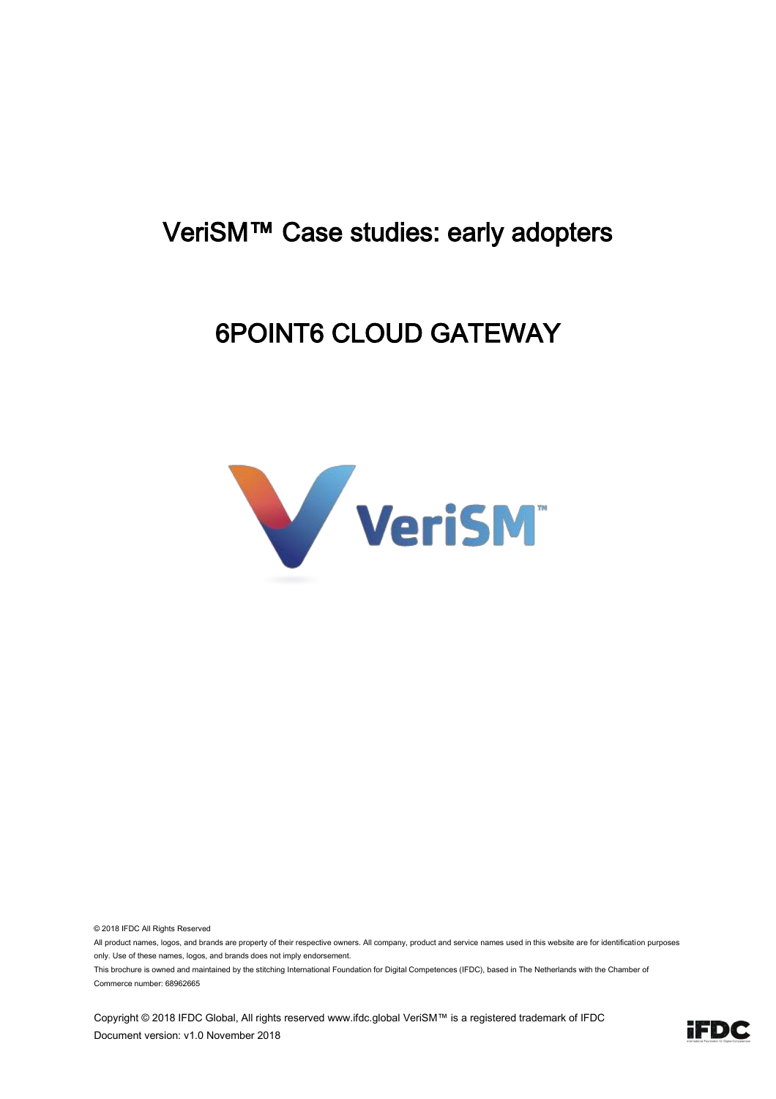#### VeriSM™ Case studies: early adopters

#### 6POINT6 CLOUD GATEWAY



© 2018 IFDC All Rights Reserved

All product names, logos, and brands are property of their respective owners. All company, product and service names used in this website are for identification purposes only. Use of these names, logos, and brands does not imply endorsement.

This brochure is owned and maintained by the stitching International Foundation for Digital Competences (IFDC), based in The Netherlands with the Chamber of Commerce number: 68962665

Copyright © 2018 IFDC Global, All rights reserved www.ifdc.global VeriSM™ is a registered trademark of IFDC Document version: v1.0 November 2018

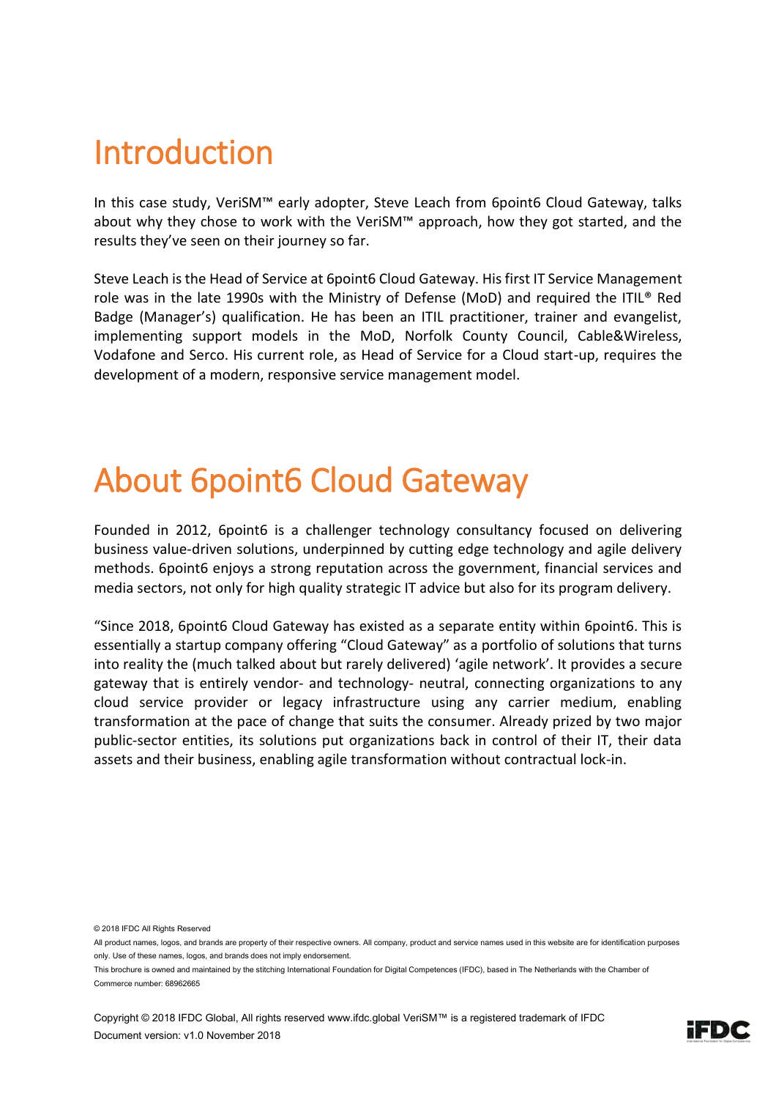### Introduction

In this case study, VeriSM™ early adopter, Steve Leach from 6point6 Cloud Gateway, talks about why they chose to work with the VeriSM™ approach, how they got started, and the results they've seen on their journey so far.

Steve Leach is the Head of Service at 6point6 Cloud Gateway. His first IT Service Management role was in the late 1990s with the Ministry of Defense (MoD) and required the ITIL® Red Badge (Manager's) qualification. He has been an ITIL practitioner, trainer and evangelist, implementing support models in the MoD, Norfolk County Council, Cable&Wireless, Vodafone and Serco. His current role, as Head of Service for a Cloud start-up, requires the development of a modern, responsive service management model.

### About 6point6 Cloud Gateway

Founded in 2012, 6point6 is a challenger technology consultancy focused on delivering business value-driven solutions, underpinned by cutting edge technology and agile delivery methods. 6point6 enjoys a strong reputation across the government, financial services and media sectors, not only for high quality strategic IT advice but also for its program delivery.

"Since 2018, 6point6 Cloud Gateway has existed as a separate entity within 6point6. This is essentially a startup company offering "Cloud Gateway" as a portfolio of solutions that turns into reality the (much talked about but rarely delivered) 'agile network'. It provides a secure gateway that is entirely vendor- and technology- neutral, connecting organizations to any cloud service provider or legacy infrastructure using any carrier medium, enabling transformation at the pace of change that suits the consumer. Already prized by two major public-sector entities, its solutions put organizations back in control of their IT, their data assets and their business, enabling agile transformation without contractual lock-in.

© 2018 IFDC All Rights Reserved



All product names, logos, and brands are property of their respective owners. All company, product and service names used in this website are for identification purposes only. Use of these names, logos, and brands does not imply endorsement.

This brochure is owned and maintained by the stitching International Foundation for Digital Competences (IFDC), based in The Netherlands with the Chamber of Commerce number: 68962665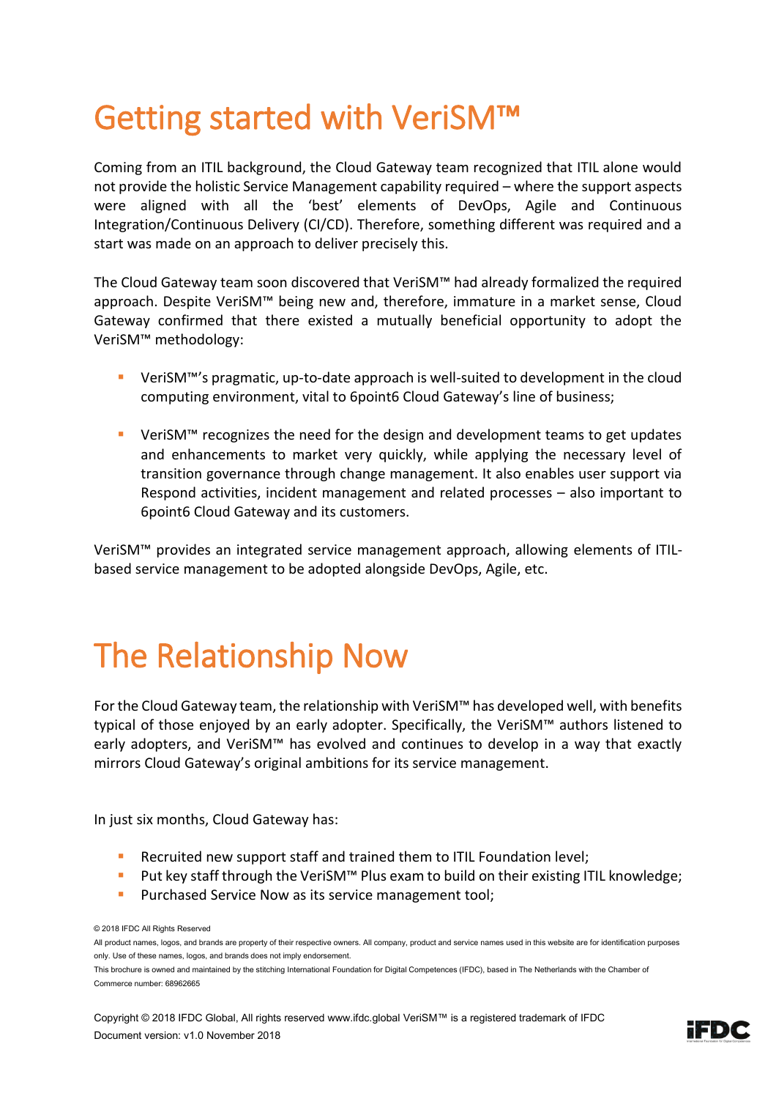## Getting started with VeriSM™

Coming from an ITIL background, the Cloud Gateway team recognized that ITIL alone would not provide the holistic Service Management capability required – where the support aspects were aligned with all the 'best' elements of DevOps, Agile and Continuous Integration/Continuous Delivery (CI/CD). Therefore, something different was required and a start was made on an approach to deliver precisely this.

The Cloud Gateway team soon discovered that VeriSM™ had already formalized the required approach. Despite VeriSM™ being new and, therefore, immature in a market sense, Cloud Gateway confirmed that there existed a mutually beneficial opportunity to adopt the VeriSM™ methodology:

- VeriSM™'s pragmatic, up-to-date approach is well-suited to development in the cloud computing environment, vital to 6point6 Cloud Gateway's line of business;
- VeriSM<sup>™</sup> recognizes the need for the design and development teams to get updates and enhancements to market very quickly, while applying the necessary level of transition governance through change management. It also enables user support via Respond activities, incident management and related processes – also important to 6point6 Cloud Gateway and its customers.

VeriSM™ provides an integrated service management approach, allowing elements of ITILbased service management to be adopted alongside DevOps, Agile, etc.

# The Relationship Now

For the Cloud Gateway team, the relationship with VeriSM™ has developed well, with benefits typical of those enjoyed by an early adopter. Specifically, the VeriSM™ authors listened to early adopters, and VeriSM™ has evolved and continues to develop in a way that exactly mirrors Cloud Gateway's original ambitions for its service management.

In just six months, Cloud Gateway has:

- Recruited new support staff and trained them to ITIL Foundation level;
- Put key staff through the VeriSM<sup>™</sup> Plus exam to build on their existing ITIL knowledge;
- **Purchased Service Now as its service management tool;**

© 2018 IFDC All Rights Reserved

All product names, logos, and brands are property of their respective owners. All company, product and service names used in this website are for identification purposes only. Use of these names, logos, and brands does not imply endorsement.

This brochure is owned and maintained by the stitching International Foundation for Digital Competences (IFDC), based in The Netherlands with the Chamber of Commerce number: 68962665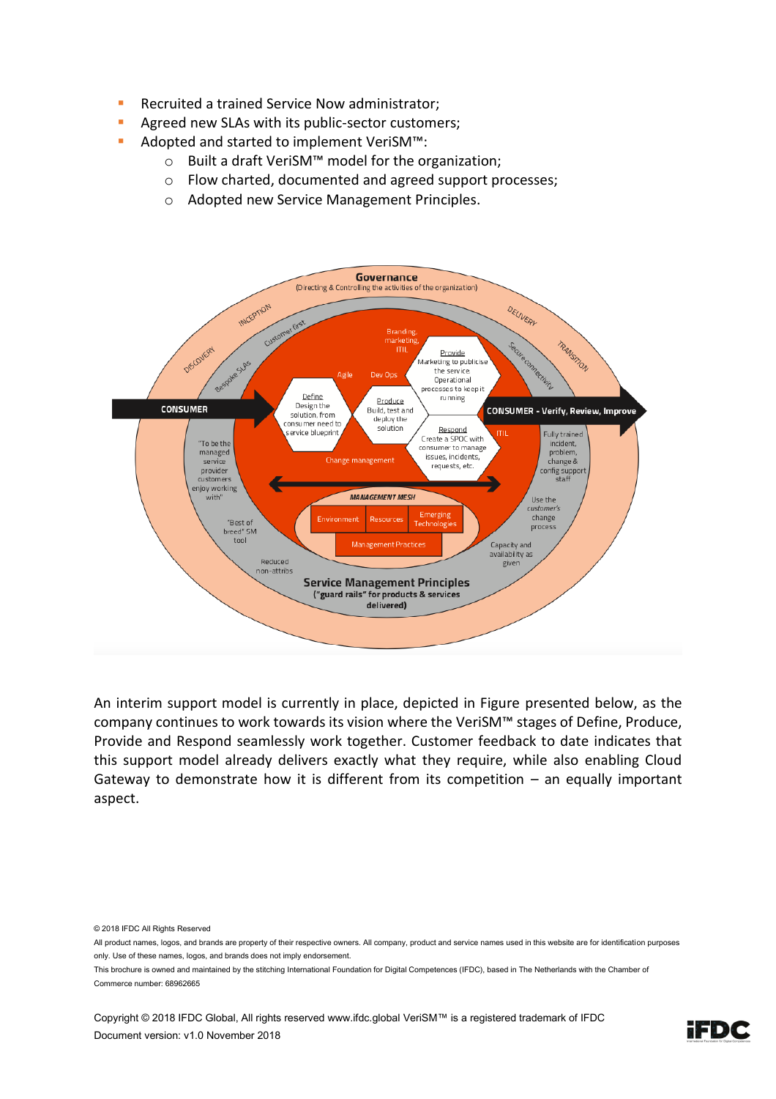- Recruited a trained Service Now administrator;
- **E** Agreed new SLAs with its public-sector customers;
- Adopted and started to implement VeriSM™:
	- o Built a draft VeriSM™ model for the organization;
	- o Flow charted, documented and agreed support processes;
	- o Adopted new Service Management Principles.



An interim support model is currently in place, depicted in Figure presented below, as the company continues to work towards its vision where the VeriSM™ stages of Define, Produce, Provide and Respond seamlessly work together. Customer feedback to date indicates that this support model already delivers exactly what they require, while also enabling Cloud Gateway to demonstrate how it is different from its competition  $-$  an equally important aspect.

© 2018 IFDC All Rights Reserved

This brochure is owned and maintained by the stitching International Foundation for Digital Competences (IFDC), based in The Netherlands with the Chamber of Commerce number: 68962665



All product names, logos, and brands are property of their respective owners. All company, product and service names used in this website are for identification purposes only. Use of these names, logos, and brands does not imply endorsement.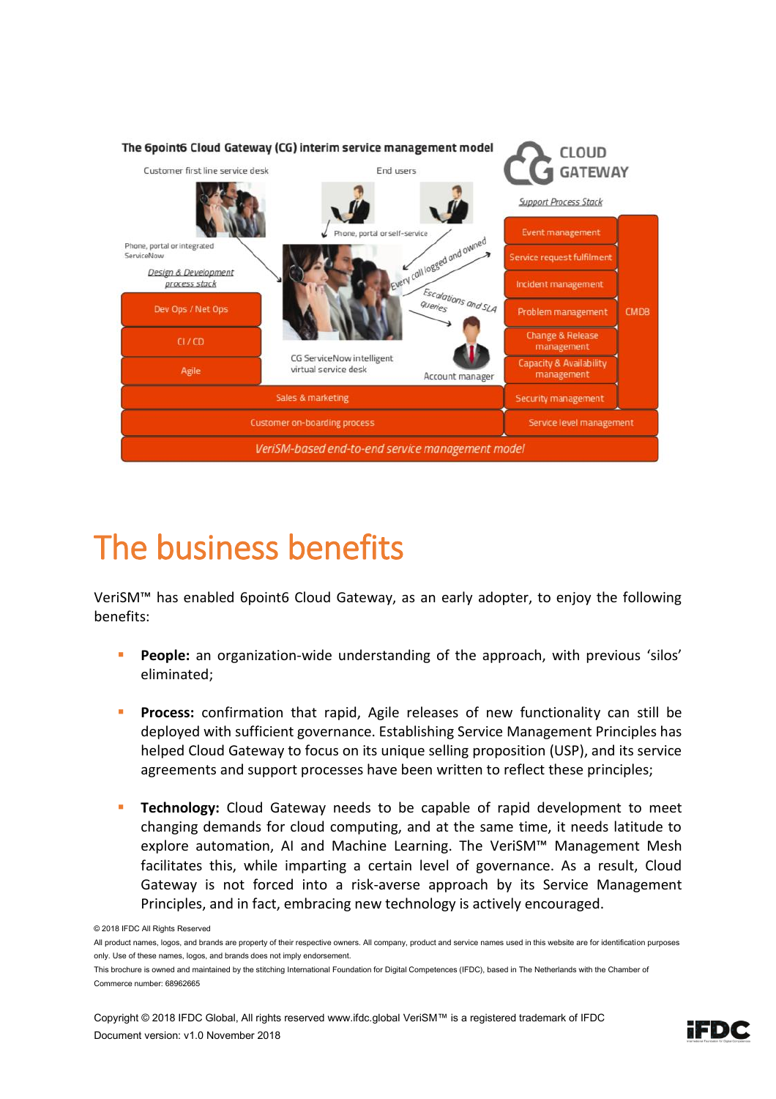

## The business benefits

VeriSM™ has enabled 6point6 Cloud Gateway, as an early adopter, to enjoy the following benefits:

- **People:** an organization-wide understanding of the approach, with previous 'silos' eliminated;
- **Process:** confirmation that rapid, Agile releases of new functionality can still be deployed with sufficient governance. Establishing Service Management Principles has helped Cloud Gateway to focus on its unique selling proposition (USP), and its service agreements and support processes have been written to reflect these principles;
- **EXECOMOMOGY:** Cloud Gateway needs to be capable of rapid development to meet changing demands for cloud computing, and at the same time, it needs latitude to explore automation, AI and Machine Learning. The VeriSM™ Management Mesh facilitates this, while imparting a certain level of governance. As a result, Cloud Gateway is not forced into a risk-averse approach by its Service Management Principles, and in fact, embracing new technology is actively encouraged.



<sup>© 2018</sup> IFDC All Rights Reserved

All product names, logos, and brands are property of their respective owners. All company, product and service names used in this website are for identification purposes only. Use of these names, logos, and brands does not imply endorsement.

This brochure is owned and maintained by the stitching International Foundation for Digital Competences (IFDC), based in The Netherlands with the Chamber of Commerce number: 68962665